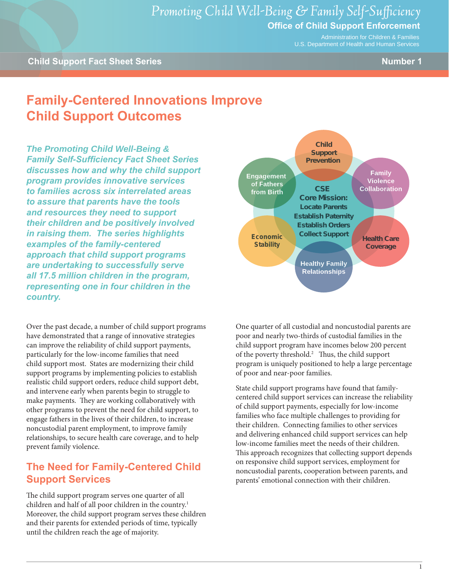Administration for Children & Families U.S. Department of Health and Human Services

# **Family-Centered Innovations Improve Child Support Outcomes**

*The Promoting Child Well-Being & Family Self-Sufficiency Fact Sheet Series discusses how and why the child support program provides innovative services to families across six interrelated areas to assure that parents have the tools and resources they need to support their children and be positively involved in raising them. The series highlights examples of the family-centered approach that child support programs are undertaking to successfully serve all 17.5 million children in the program, representing one in four children in the country.*

Over the past decade, a number of child support programs have demonstrated that a range of innovative strategies can improve the reliability of child support payments, particularly for the low-income families that need child support most. States are modernizing their child support programs by implementing policies to establish realistic child support orders, reduce child support debt, and intervene early when parents begin to struggle to make payments. They are working collaboratively with other programs to prevent the need for child support, to engage fathers in the lives of their children, to increase noncustodial parent employment, to improve family relationships, to secure health care coverage, and to help prevent family violence.

#### **The Need for Family-Centered Child Support Services**

The child support program serves one quarter of all children and half of all poor children in the country.<sup>1</sup> Moreover, the child support program serves these children and their parents for extended periods of time, typically until the children reach the age of majority.



One quarter of all custodial and noncustodial parents are poor and nearly two-thirds of custodial families in the child support program have incomes below 200 percent of the poverty threshold.<sup>2</sup> Thus, the child support program is uniquely positioned to help a large percentage of poor and near-poor families.

State child support programs have found that familycentered child support services can increase the reliability of child support payments, especially for low-income families who face multiple challenges to providing for their children. Connecting families to other services and delivering enhanced child support services can help low-income families meet the needs of their children. This approach recognizes that collecting support depends on responsive child support services, employment for noncustodial parents, cooperation between parents, and parents' emotional connection with their children.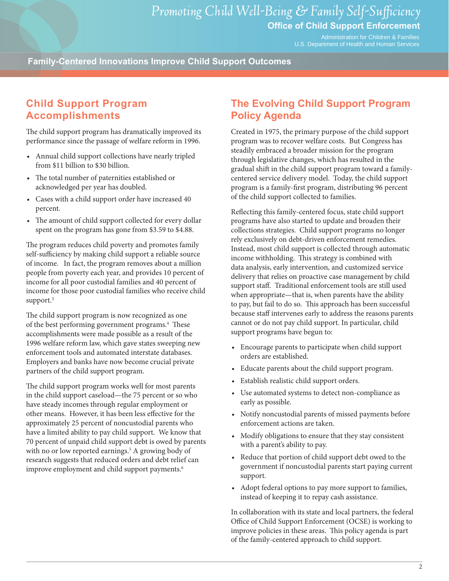Administration for Children & Families U.S. Department of Health and Human Services

**Family-Centered Innovations Improve Child Support Outcomes**

### **Child Support Program Accomplishments**

The child support program has dramatically improved its performance since the passage of welfare reform in 1996.

- • Annual child support collections have nearly tripled from \$11 billion to \$30 billion.
- The total number of paternities established or acknowledged per year has doubled.
- • Cases with a child support order have increased 40 percent.
- The amount of child support collected for every dollar spent on the program has gone from \$3.59 to \$4.88.

The program reduces child poverty and promotes family self-sufficiency by making child support a reliable source of income. In fact, the program removes about a million people from poverty each year, and provides 10 percent of income for all poor custodial families and 40 percent of income for those poor custodial families who receive child support.<sup>3</sup>

The child support program is now recognized as one of the best performing government programs.4 These accomplishments were made possible as a result of the 1996 welfare reform law, which gave states sweeping new enforcement tools and automated interstate databases. Employers and banks have now become crucial private partners of the child support program.

The child support program works well for most parents in the child support caseload—the 75 percent or so who have steady incomes through regular employment or other means. However, it has been less effective for the approximately 25 percent of noncustodial parents who have a limited ability to pay child support. We know that 70 percent of unpaid child support debt is owed by parents with no or low reported earnings.<sup>5</sup> A growing body of research suggests that reduced orders and debt relief can improve employment and child support payments.<sup>6</sup>

#### **The Evolving Child Support Program Policy Agenda**

Created in 1975, the primary purpose of the child support program was to recover welfare costs. But Congress has steadily embraced a broader mission for the program through legislative changes, which has resulted in the gradual shift in the child support program toward a familycentered service delivery model. Today, the child support program is a family-first program, distributing 96 percent of the child support collected to families.

Reflecting this family-centered focus, state child support programs have also started to update and broaden their collections strategies. Child support programs no longer rely exclusively on debt-driven enforcement remedies. Instead, most child support is collected through automatic income withholding. This strategy is combined with data analysis, early intervention, and customized service delivery that relies on proactive case management by child support staff. Traditional enforcement tools are still used when appropriate—that is, when parents have the ability to pay, but fail to do so. This approach has been successful because staff intervenes early to address the reasons parents cannot or do not pay child support. In particular, child support programs have begun to:

- • Encourage parents to participate when child support orders are established.
- • Educate parents about the child support program.
- • Establish realistic child support orders.
- • Use automated systems to detect non-compliance as early as possible.
- Notify noncustodial parents of missed payments before enforcement actions are taken.
- Modify obligations to ensure that they stay consistent with a parent's ability to pay.
- Reduce that portion of child support debt owed to the government if noncustodial parents start paying current support.
- Adopt federal options to pay more support to families, instead of keeping it to repay cash assistance.

In collaboration with its state and local partners, the federal Office of Child Support Enforcement (OCSE) is working to improve policies in these areas. This policy agenda is part of the family-centered approach to child support.